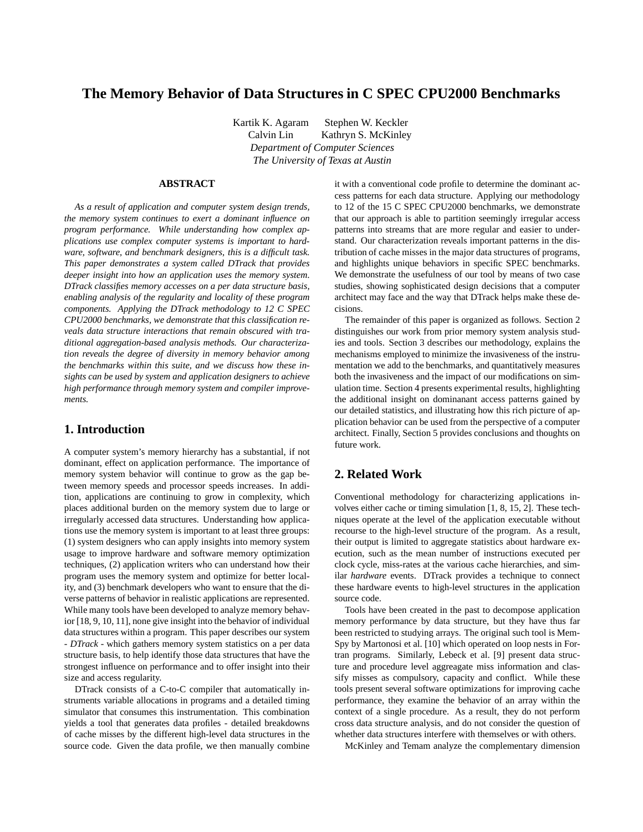# **The Memory Behavior of Data Structures in C SPEC CPU2000 Benchmarks**

Kartik K. Agaram Stephen W. Keckler Calvin Lin Kathryn S. McKinley *Department of Computer Sciences The University of Texas at Austin*

### **ABSTRACT**

*As a result of application and computer system design trends, the memory system continues to exert a dominant influence on program performance. While understanding how complex applications use complex computer systems is important to hardware, software, and benchmark designers, this is a difficult task. This paper demonstrates a system called DTrack that provides deeper insight into how an application uses the memory system. DTrack classifies memory accesses on a per data structure basis, enabling analysis of the regularity and locality of these program components. Applying the DTrack methodology to 12 C SPEC CPU2000 benchmarks, we demonstrate that this classification reveals data structure interactions that remain obscured with traditional aggregation-based analysis methods. Our characterization reveals the degree of diversity in memory behavior among the benchmarks within this suite, and we discuss how these insights can be used by system and application designers to achieve high performance through memory system and compiler improvements.*

## **1. Introduction**

A computer system's memory hierarchy has a substantial, if not dominant, effect on application performance. The importance of memory system behavior will continue to grow as the gap between memory speeds and processor speeds increases. In addition, applications are continuing to grow in complexity, which places additional burden on the memory system due to large or irregularly accessed data structures. Understanding how applications use the memory system is important to at least three groups: (1) system designers who can apply insights into memory system usage to improve hardware and software memory optimization techniques, (2) application writers who can understand how their program uses the memory system and optimize for better locality, and (3) benchmark developers who want to ensure that the diverse patterns of behavior in realistic applications are represented. While many tools have been developed to analyze memory behavior [18, 9, 10, 11], none give insight into the behavior of individual data structures within a program. This paper describes our system - *DTrack* - which gathers memory system statistics on a per data structure basis, to help identify those data structures that have the strongest influence on performance and to offer insight into their size and access regularity.

DTrack consists of a C-to-C compiler that automatically instruments variable allocations in programs and a detailed timing simulator that consumes this instrumentation. This combination yields a tool that generates data profiles - detailed breakdowns of cache misses by the different high-level data structures in the source code. Given the data profile, we then manually combine it with a conventional code profile to determine the dominant access patterns for each data structure. Applying our methodology to 12 of the 15 C SPEC CPU2000 benchmarks, we demonstrate that our approach is able to partition seemingly irregular access patterns into streams that are more regular and easier to understand. Our characterization reveals important patterns in the distribution of cache misses in the major data structures of programs, and highlights unique behaviors in specific SPEC benchmarks. We demonstrate the usefulness of our tool by means of two case studies, showing sophisticated design decisions that a computer architect may face and the way that DTrack helps make these decisions.

The remainder of this paper is organized as follows. Section 2 distinguishes our work from prior memory system analysis studies and tools. Section 3 describes our methodology, explains the mechanisms employed to minimize the invasiveness of the instrumentation we add to the benchmarks, and quantitatively measures both the invasiveness and the impact of our modifications on simulation time. Section 4 presents experimental results, highlighting the additional insight on dominanant access patterns gained by our detailed statistics, and illustrating how this rich picture of application behavior can be used from the perspective of a computer architect. Finally, Section 5 provides conclusions and thoughts on future work.

# **2. Related Work**

Conventional methodology for characterizing applications involves either cache or timing simulation [1, 8, 15, 2]. These techniques operate at the level of the application executable without recourse to the high-level structure of the program. As a result, their output is limited to aggregate statistics about hardware execution, such as the mean number of instructions executed per clock cycle, miss-rates at the various cache hierarchies, and similar *hardware* events. DTrack provides a technique to connect these hardware events to high-level structures in the application source code.

Tools have been created in the past to decompose application memory performance by data structure, but they have thus far been restricted to studying arrays. The original such tool is Mem-Spy by Martonosi et al. [10] which operated on loop nests in Fortran programs. Similarly, Lebeck et al. [9] present data structure and procedure level aggreagate miss information and classify misses as compulsory, capacity and conflict. While these tools present several software optimizations for improving cache performance, they examine the behavior of an array within the context of a single procedure. As a result, they do not perform cross data structure analysis, and do not consider the question of whether data structures interfere with themselves or with others.

McKinley and Temam analyze the complementary dimension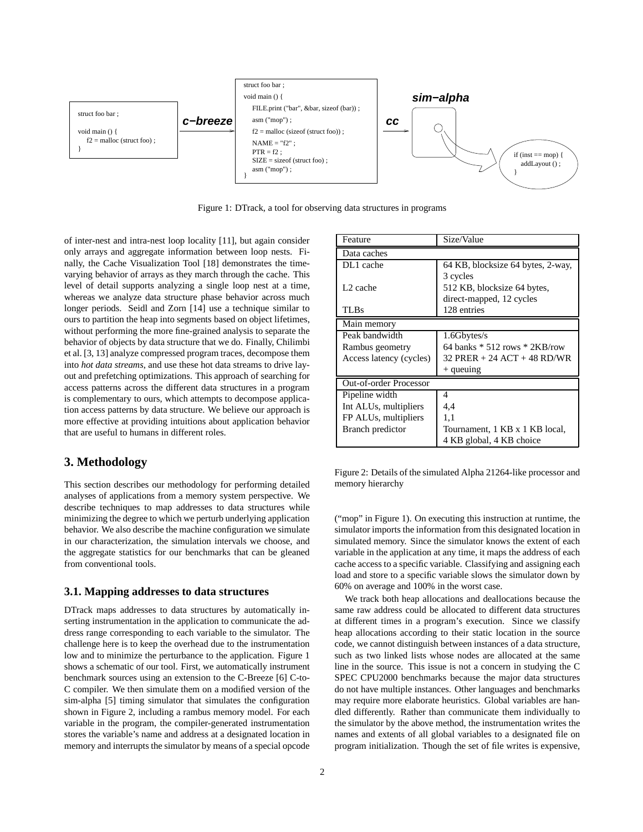

Figure 1: DTrack, a tool for observing data structures in programs

of inter-nest and intra-nest loop locality [11], but again consider only arrays and aggregate information between loop nests. Finally, the Cache Visualization Tool [18] demonstrates the timevarying behavior of arrays as they march through the cache. This level of detail supports analyzing a single loop nest at a time, whereas we analyze data structure phase behavior across much longer periods. Seidl and Zorn [14] use a technique similar to ours to partition the heap into segments based on object lifetimes, without performing the more fine-grained analysis to separate the behavior of objects by data structure that we do. Finally, Chilimbi et al. [3, 13] analyze compressed program traces, decompose them into *hot data streams*, and use these hot data streams to drive layout and prefetching optimizations. This approach of searching for access patterns across the different data structures in a program is complementary to ours, which attempts to decompose application access patterns by data structure. We believe our approach is more effective at providing intuitions about application behavior that are useful to humans in different roles.

### **3. Methodology**

This section describes our methodology for performing detailed analyses of applications from a memory system perspective. We describe techniques to map addresses to data structures while minimizing the degree to which we perturb underlying application behavior. We also describe the machine configuration we simulate in our characterization, the simulation intervals we choose, and the aggregate statistics for our benchmarks that can be gleaned from conventional tools.

#### **3.1. Mapping addresses to data structures**

DTrack maps addresses to data structures by automatically inserting instrumentation in the application to communicate the address range corresponding to each variable to the simulator. The challenge here is to keep the overhead due to the instrumentation low and to minimize the perturbance to the application. Figure 1 shows a schematic of our tool. First, we automatically instrument benchmark sources using an extension to the C-Breeze [6] C-to-C compiler. We then simulate them on a modified version of the sim-alpha [5] timing simulator that simulates the configuration shown in Figure 2, including a rambus memory model. For each variable in the program, the compiler-generated instrumentation stores the variable's name and address at a designated location in memory and interrupts the simulator by means of a special opcode

| Feature                       | Size/Value                         |  |  |  |
|-------------------------------|------------------------------------|--|--|--|
| Data caches                   |                                    |  |  |  |
| DL1 cache                     | 64 KB, blocksize 64 bytes, 2-way,  |  |  |  |
|                               | 3 cycles                           |  |  |  |
| L <sub>2</sub> cache          | 512 KB, blocksize 64 bytes,        |  |  |  |
|                               | direct-mapped, 12 cycles           |  |  |  |
| <b>TLBs</b>                   | 128 entries                        |  |  |  |
| Main memory                   |                                    |  |  |  |
| Peak bandwidth                | $1.6$ Gbytes/s                     |  |  |  |
| Rambus geometry               | 64 banks $* 512$ rows $* 2KB$ /row |  |  |  |
| Access latency (cycles)       | $32$ PRER + 24 ACT + 48 RD/WR      |  |  |  |
|                               | $+$ queuing                        |  |  |  |
| <b>Out-of-order Processor</b> |                                    |  |  |  |
| Pipeline width                | 4                                  |  |  |  |
| Int ALUs, multipliers         | 4,4                                |  |  |  |
| FP ALUs, multipliers          | 1,1                                |  |  |  |
| Branch predictor              | Tournament, 1 KB x 1 KB local,     |  |  |  |
|                               | 4 KB global, 4 KB choice           |  |  |  |

Figure 2: Details of the simulated Alpha 21264-like processor and memory hierarchy

("mop" in Figure 1). On executing this instruction at runtime, the simulator imports the information from this designated location in simulated memory. Since the simulator knows the extent of each variable in the application at any time, it maps the address of each cache access to a specific variable. Classifying and assigning each load and store to a specific variable slows the simulator down by 60% on average and 100% in the worst case.

We track both heap allocations and deallocations because the same raw address could be allocated to different data structures at different times in a program's execution. Since we classify heap allocations according to their static location in the source code, we cannot distinguish between instances of a data structure, such as two linked lists whose nodes are allocated at the same line in the source. This issue is not a concern in studying the C SPEC CPU2000 benchmarks because the major data structures do not have multiple instances. Other languages and benchmarks may require more elaborate heuristics. Global variables are handled differently. Rather than communicate them individually to the simulator by the above method, the instrumentation writes the names and extents of all global variables to a designated file on program initialization. Though the set of file writes is expensive,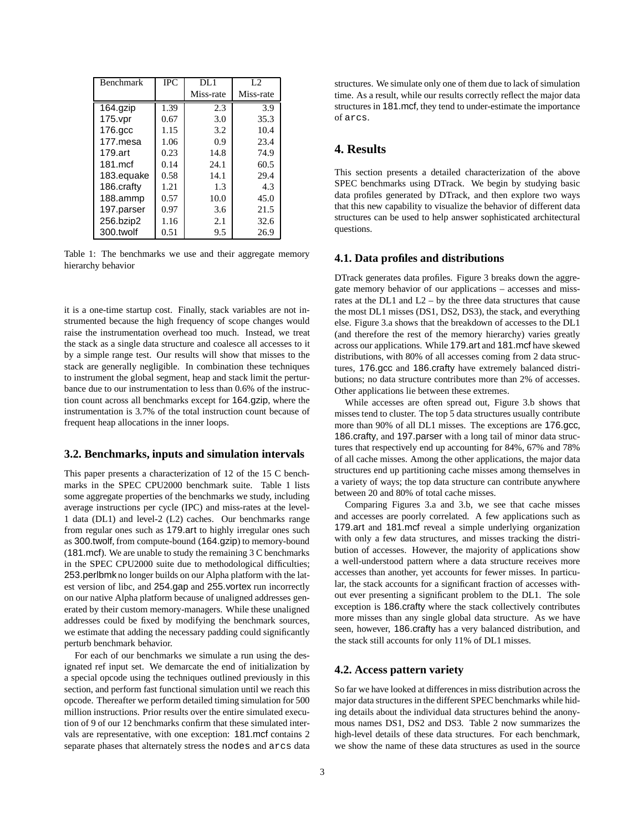| Benchmark              | <b>IPC</b> | DL1       | L2        |
|------------------------|------------|-----------|-----------|
|                        |            | Miss-rate | Miss-rate |
| $\overline{16}4$ .gzip | 1.39       | 2.3       | 3.9       |
| 175.vpr                | 0.67       | 3.0       | 35.3      |
| $176$ .gcc             | 1.15       | 3.2       | 10.4      |
| 177.mesa               | 1.06       | 0.9       | 23.4      |
| 179.art                | 0.23       | 14.8      | 74.9      |
| 181.mcf                | 0.14       | 24.1      | 60.5      |
| 183.equake             | 0.58       | 14.1      | 29.4      |
| 186.crafty             | 1.21       | 1.3       | 4.3       |
| 188.ammp               | 0.57       | 10.0      | 45.0      |
| 197.parser             | 0.97       | 3.6       | 21.5      |
| 256.bzip2              | 1.16       | 2.1       | 32.6      |
| 300.twolf              | 0.51       | 9.5       | 26.9      |

Table 1: The benchmarks we use and their aggregate memory hierarchy behavior

it is a one-time startup cost. Finally, stack variables are not instrumented because the high frequency of scope changes would raise the instrumentation overhead too much. Instead, we treat the stack as a single data structure and coalesce all accesses to it by a simple range test. Our results will show that misses to the stack are generally negligible. In combination these techniques to instrument the global segment, heap and stack limit the perturbance due to our instrumentation to less than 0.6% of the instruction count across all benchmarks except for 164.gzip, where the instrumentation is 3.7% of the total instruction count because of frequent heap allocations in the inner loops.

#### **3.2. Benchmarks, inputs and simulation intervals**

This paper presents a characterization of 12 of the 15 C benchmarks in the SPEC CPU2000 benchmark suite. Table 1 lists some aggregate properties of the benchmarks we study, including average instructions per cycle (IPC) and miss-rates at the level-1 data (DL1) and level-2 (L2) caches. Our benchmarks range from regular ones such as 179.art to highly irregular ones such as 300.twolf, from compute-bound (164.gzip) to memory-bound (181.mcf). We are unable to study the remaining 3 C benchmarks in the SPEC CPU2000 suite due to methodological difficulties; 253.perlbmk no longer builds on our Alpha platform with the latest version of libc, and 254.gap and 255.vortex run incorrectly on our native Alpha platform because of unaligned addresses generated by their custom memory-managers. While these unaligned addresses could be fixed by modifying the benchmark sources, we estimate that adding the necessary padding could significantly perturb benchmark behavior.

For each of our benchmarks we simulate a run using the designated ref input set. We demarcate the end of initialization by a special opcode using the techniques outlined previously in this section, and perform fast functional simulation until we reach this opcode. Thereafter we perform detailed timing simulation for 500 million instructions. Prior results over the entire simulated execution of 9 of our 12 benchmarks confirm that these simulated intervals are representative, with one exception: 181.mcf contains 2 separate phases that alternately stress the nodes and arcs data structures. We simulate only one of them due to lack of simulation time. As a result, while our results correctly reflect the major data structures in 181.mcf, they tend to under-estimate the importance of arcs.

# **4. Results**

This section presents a detailed characterization of the above SPEC benchmarks using DTrack. We begin by studying basic data profiles generated by DTrack, and then explore two ways that this new capability to visualize the behavior of different data structures can be used to help answer sophisticated architectural questions.

### **4.1. Data profiles and distributions**

DTrack generates data profiles. Figure 3 breaks down the aggregate memory behavior of our applications – accesses and missrates at the DL1 and L2 – by the three data structures that cause the most DL1 misses (DS1, DS2, DS3), the stack, and everything else. Figure 3.a shows that the breakdown of accesses to the DL1 (and therefore the rest of the memory hierarchy) varies greatly across our applications. While 179.art and 181.mcf have skewed distributions, with 80% of all accesses coming from 2 data structures, 176.gcc and 186.crafty have extremely balanced distributions; no data structure contributes more than 2% of accesses. Other applications lie between these extremes.

While accesses are often spread out, Figure 3.b shows that misses tend to cluster. The top 5 data structures usually contribute more than 90% of all DL1 misses. The exceptions are 176.gcc, 186.crafty, and 197.parser with a long tail of minor data structures that respectively end up accounting for 84%, 67% and 78% of all cache misses. Among the other applications, the major data structures end up partitioning cache misses among themselves in a variety of ways; the top data structure can contribute anywhere between 20 and 80% of total cache misses.

Comparing Figures 3.a and 3.b, we see that cache misses and accesses are poorly correlated. A few applications such as 179.art and 181.mcf reveal a simple underlying organization with only a few data structures, and misses tracking the distribution of accesses. However, the majority of applications show a well-understood pattern where a data structure receives more accesses than another, yet accounts for fewer misses. In particular, the stack accounts for a significant fraction of accesses without ever presenting a significant problem to the DL1. The sole exception is 186.crafty where the stack collectively contributes more misses than any single global data structure. As we have seen, however, 186.crafty has a very balanced distribution, and the stack still accounts for only 11% of DL1 misses.

#### **4.2. Access pattern variety**

So far we have looked at differences in miss distribution across the major data structures in the different SPEC benchmarks while hiding details about the individual data structures behind the anonymous names DS1, DS2 and DS3. Table 2 now summarizes the high-level details of these data structures. For each benchmark, we show the name of these data structures as used in the source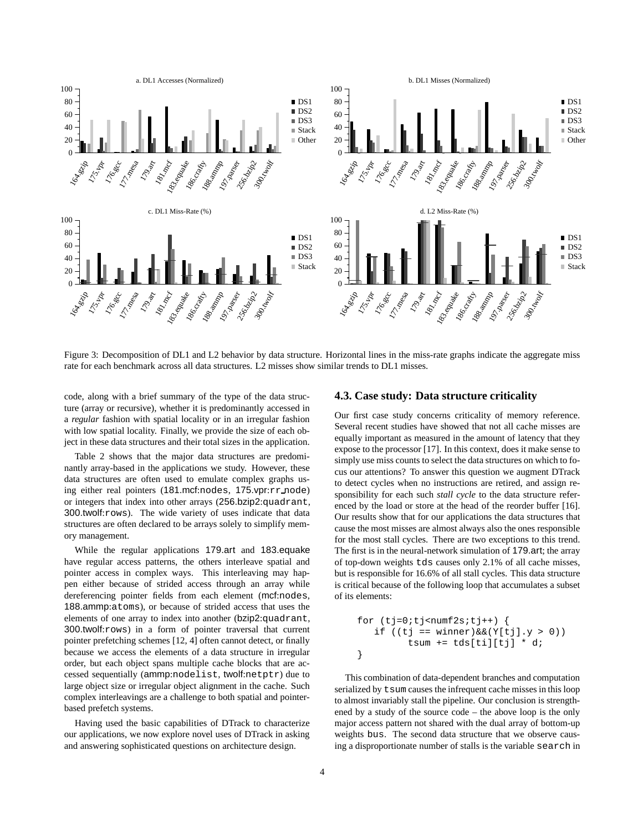

Figure 3: Decomposition of DL1 and L2 behavior by data structure. Horizontal lines in the miss-rate graphs indicate the aggregate miss rate for each benchmark across all data structures. L2 misses show similar trends to DL1 misses.

code, along with a brief summary of the type of the data structure (array or recursive), whether it is predominantly accessed in a *regular* fashion with spatial locality or in an irregular fashion with low spatial locality. Finally, we provide the size of each object in these data structures and their total sizes in the application.

Table 2 shows that the major data structures are predominantly array-based in the applications we study. However, these data structures are often used to emulate complex graphs using either real pointers (181.mcf:nodes, 175.vpr:rr node) or integers that index into other arrays (256.bzip2:quadrant, 300.twolf:rows). The wide variety of uses indicate that data structures are often declared to be arrays solely to simplify memory management.

While the regular applications 179.art and 183.equake have regular access patterns, the others interleave spatial and pointer access in complex ways. This interleaving may happen either because of strided access through an array while dereferencing pointer fields from each element (mcf:nodes, 188.ammp:atoms), or because of strided access that uses the elements of one array to index into another (bzip2:quadrant, 300.twolf:rows) in a form of pointer traversal that current pointer prefetching schemes [12, 4] often cannot detect, or finally because we access the elements of a data structure in irregular order, but each object spans multiple cache blocks that are accessed sequentially (ammp:nodelist, twolf:netptr) due to large object size or irregular object alignment in the cache. Such complex interleavings are a challenge to both spatial and pointerbased prefetch systems.

Having used the basic capabilities of DTrack to characterize our applications, we now explore novel uses of DTrack in asking and answering sophisticated questions on architecture design.

#### **4.3. Case study: Data structure criticality**

Our first case study concerns criticality of memory reference. Several recent studies have showed that not all cache misses are equally important as measured in the amount of latency that they expose to the processor [17]. In this context, does it make sense to simply use miss counts to select the data structures on which to focus our attentions? To answer this question we augment DTrack to detect cycles when no instructions are retired, and assign responsibility for each such *stall cycle* to the data structure referenced by the load or store at the head of the reorder buffer [16]. Our results show that for our applications the data structures that cause the most misses are almost always also the ones responsible for the most stall cycles. There are two exceptions to this trend. The first is in the neural-network simulation of 179.art; the array of top-down weights tds causes only 2.1% of all cache misses, but is responsible for 16.6% of all stall cycles. This data structure is critical because of the following loop that accumulates a subset of its elements:

$$
\begin{array}{l}\nfor (tj=0:tj="" ((tj="winner)\&(Y[tj].y" *="" +="tds[ti][tj]" 0))="" d;\n="" if="" math="" tsum="" {\n="" }\n}\n<="">
$$

This combination of data-dependent branches and computation serialized by tsum causes the infrequent cache misses in this loop to almost invariably stall the pipeline. Our conclusion is strengthened by a study of the source code – the above loop is the only major access pattern not shared with the dual array of bottom-up weights bus. The second data structure that we observe causing a disproportionate number of stalls is the variable search in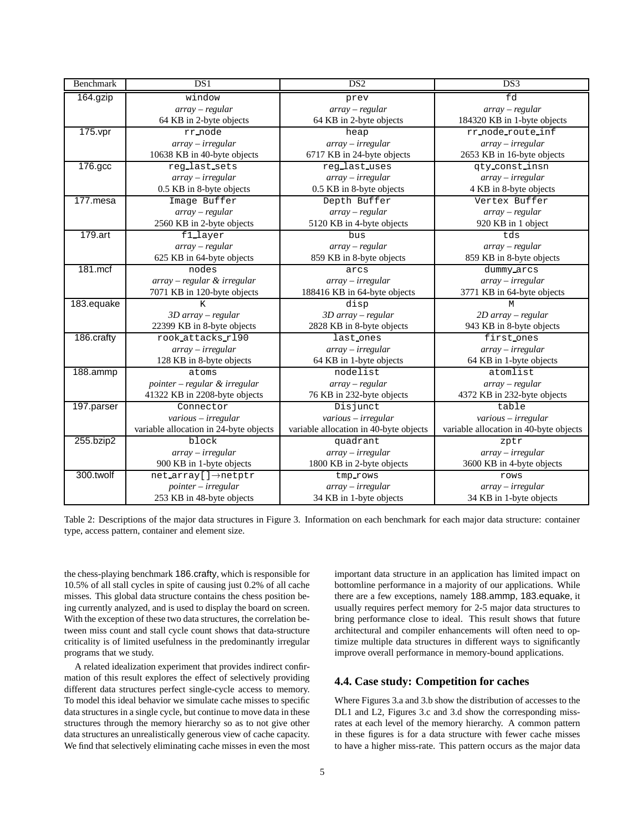| Benchmark  | DS1                                    | DS <sub>2</sub>                        | DS3                                    |
|------------|----------------------------------------|----------------------------------------|----------------------------------------|
| 164.gzip   | window                                 | prev                                   | fd                                     |
|            | $array - regular$                      | $array - regular$                      | $array - regular$                      |
|            | 64 KB in 2-byte objects                | 64 KB in 2-byte objects                | 184320 KB in 1-byte objects            |
| 175.vpr    | rr_node                                | heap                                   | rr_node_route_inf                      |
|            | $array - irregular$                    | $array - irregular$                    | $array - irregular$                    |
|            | 10638 KB in 40-byte objects            | 6717 KB in 24-byte objects             | 2653 KB in 16-byte objects             |
| 176.gcc    | reg_last_sets                          | reg_last_uses                          | qty_const_insn                         |
|            | $array - irregular$                    | $array - irregular$                    | $array - irregular$                    |
|            | 0.5 KB in 8-byte objects               | 0.5 KB in 8-byte objects               | 4 KB in 8-byte objects                 |
| 177.mesa   | Image Buffer                           | Depth Buffer                           | Vertex Buffer                          |
|            | $array - regular$                      | $array - regular$                      | $array - regular$                      |
|            | 2560 KB in 2-byte objects              | 5120 KB in 4-byte objects              | 920 KB in 1 object                     |
| 179.art    | f1 layer                               | bus                                    | tds                                    |
|            | $array - regular$                      | $array - regular$                      | $array - regular$                      |
|            | 625 KB in 64-byte objects              | 859 KB in 8-byte objects               | 859 KB in 8-byte objects               |
| 181.mcf    | nodes                                  | arcs                                   | dummy arcs                             |
|            | array - regular & irregular            | $array - irregular$                    | $array - irregular$                    |
|            | 7071 KB in 120-byte objects            | 188416 KB in 64-byte objects           | 3771 KB in 64-byte objects             |
| 183.equake | K                                      | disp                                   | М                                      |
|            | $3D$ array – regular                   | $3D$ array – regular                   | $2D$ array – regular                   |
|            | 22399 KB in 8-byte objects             | 2828 KB in 8-byte objects              | 943 KB in 8-byte objects               |
| 186.crafty | rook_attacks_rl90                      | last_ones                              | first_ones                             |
|            | $array - irregular$                    | $array - irregular$                    | $array - irregular$                    |
|            | 128 KB in 8-byte objects               | 64 KB in 1-byte objects                | 64 KB in 1-byte objects                |
| 188.ammp   | atoms                                  | nodelist                               | atomlist                               |
|            | pointer – regular & irregular          | $array - regular$                      | $array - regular$                      |
|            | 41322 KB in 2208-byte objects          | 76 KB in 232-byte objects              | 4372 KB in 232-byte objects            |
| 197.parser | Connector                              | Disjunct                               | table                                  |
|            | $various - irregular$                  | $various - irregular$                  | $various - irregular$                  |
|            | variable allocation in 24-byte objects | variable allocation in 40-byte objects | variable allocation in 40-byte objects |
| 255.bzip2  | block                                  | quadrant                               | zptr                                   |
|            | $array - irregular$                    | $array - irregular$                    | $array - irregular$                    |
|            | 900 KB in 1-byte objects               | 1800 KB in 2-byte objects              | 3600 KB in 4-byte objects              |
| 300.twolf  | net_array[]→netptr                     | tmp_rows                               | rows                                   |
|            | pointer - irregular                    | $array - irregular$                    | $array - irregular$                    |
|            | 253 KB in 48-byte objects              | 34 KB in 1-byte objects                | 34 KB in 1-byte objects                |

Table 2: Descriptions of the major data structures in Figure 3. Information on each benchmark for each major data structure: container type, access pattern, container and element size.

the chess-playing benchmark 186.crafty, which is responsible for 10.5% of all stall cycles in spite of causing just 0.2% of all cache misses. This global data structure contains the chess position being currently analyzed, and is used to display the board on screen. With the exception of these two data structures, the correlation between miss count and stall cycle count shows that data-structure criticality is of limited usefulness in the predominantly irregular programs that we study.

A related idealization experiment that provides indirect confirmation of this result explores the effect of selectively providing different data structures perfect single-cycle access to memory. To model this ideal behavior we simulate cache misses to specific data structures in a single cycle, but continue to move data in these structures through the memory hierarchy so as to not give other data structures an unrealistically generous view of cache capacity. We find that selectively eliminating cache misses in even the most important data structure in an application has limited impact on bottomline performance in a majority of our applications. While there are a few exceptions, namely 188.ammp, 183.equake, it usually requires perfect memory for 2-5 major data structures to bring performance close to ideal. This result shows that future architectural and compiler enhancements will often need to optimize multiple data structures in different ways to significantly improve overall performance in memory-bound applications.

### **4.4. Case study: Competition for caches**

Where Figures 3.a and 3.b show the distribution of accesses to the DL1 and L2, Figures 3.c and 3.d show the corresponding missrates at each level of the memory hierarchy. A common pattern in these figures is for a data structure with fewer cache misses to have a higher miss-rate. This pattern occurs as the major data